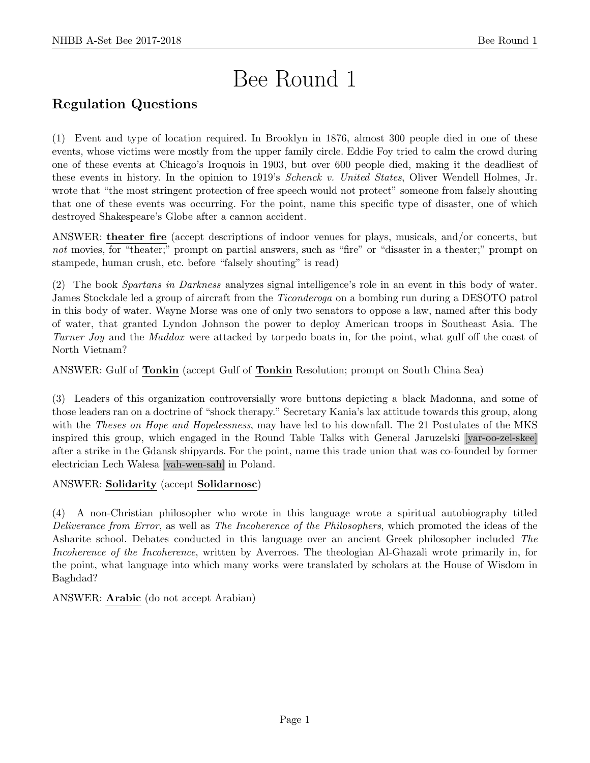# Bee Round 1

## Regulation Questions

(1) Event and type of location required. In Brooklyn in 1876, almost 300 people died in one of these events, whose victims were mostly from the upper family circle. Eddie Foy tried to calm the crowd during one of these events at Chicago's Iroquois in 1903, but over 600 people died, making it the deadliest of these events in history. In the opinion to 1919's *Schenck v. United States*, Oliver Wendell Holmes, Jr. wrote that "the most stringent protection of free speech would not protect" someone from falsely shouting that one of these events was occurring. For the point, name this specific type of disaster, one of which destroyed Shakespeare's Globe after a cannon accident.

ANSWER: theater fire (accept descriptions of indoor venues for plays, musicals, and/or concerts, but not movies, for "theater;" prompt on partial answers, such as "fire" or "disaster in a theater;" prompt on stampede, human crush, etc. before "falsely shouting" is read)

(2) The book Spartans in Darkness analyzes signal intelligence's role in an event in this body of water. James Stockdale led a group of aircraft from the Ticonderoga on a bombing run during a DESOTO patrol in this body of water. Wayne Morse was one of only two senators to oppose a law, named after this body of water, that granted Lyndon Johnson the power to deploy American troops in Southeast Asia. The Turner Joy and the Maddox were attacked by torpedo boats in, for the point, what gulf off the coast of North Vietnam?

ANSWER: Gulf of Tonkin (accept Gulf of Tonkin Resolution; prompt on South China Sea)

(3) Leaders of this organization controversially wore buttons depicting a black Madonna, and some of those leaders ran on a doctrine of "shock therapy." Secretary Kania's lax attitude towards this group, along with the *Theses on Hope and Hopelessness*, may have led to his downfall. The 21 Postulates of the MKS inspired this group, which engaged in the Round Table Talks with General Jaruzelski [yar-oo-zel-skee] after a strike in the Gdansk shipyards. For the point, name this trade union that was co-founded by former electrician Lech Walesa [vah-wen-sah] in Poland.

#### ANSWER: Solidarity (accept Solidarnosc)

(4) A non-Christian philosopher who wrote in this language wrote a spiritual autobiography titled Deliverance from Error, as well as The Incoherence of the Philosophers, which promoted the ideas of the Asharite school. Debates conducted in this language over an ancient Greek philosopher included The Incoherence of the Incoherence, written by Averroes. The theologian Al-Ghazali wrote primarily in, for the point, what language into which many works were translated by scholars at the House of Wisdom in Baghdad?

ANSWER: Arabic (do not accept Arabian)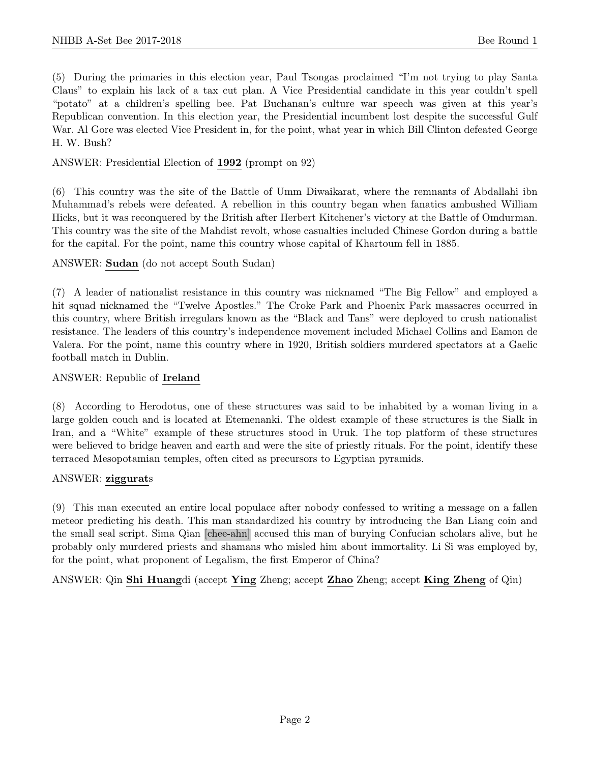(5) During the primaries in this election year, Paul Tsongas proclaimed "I'm not trying to play Santa Claus" to explain his lack of a tax cut plan. A Vice Presidential candidate in this year couldn't spell "potato" at a children's spelling bee. Pat Buchanan's culture war speech was given at this year's Republican convention. In this election year, the Presidential incumbent lost despite the successful Gulf War. Al Gore was elected Vice President in, for the point, what year in which Bill Clinton defeated George H. W. Bush?

#### ANSWER: Presidential Election of 1992 (prompt on 92)

(6) This country was the site of the Battle of Umm Diwaikarat, where the remnants of Abdallahi ibn Muhammad's rebels were defeated. A rebellion in this country began when fanatics ambushed William Hicks, but it was reconquered by the British after Herbert Kitchener's victory at the Battle of Omdurman. This country was the site of the Mahdist revolt, whose casualties included Chinese Gordon during a battle for the capital. For the point, name this country whose capital of Khartoum fell in 1885.

ANSWER: Sudan (do not accept South Sudan)

(7) A leader of nationalist resistance in this country was nicknamed "The Big Fellow" and employed a hit squad nicknamed the "Twelve Apostles." The Croke Park and Phoenix Park massacres occurred in this country, where British irregulars known as the "Black and Tans" were deployed to crush nationalist resistance. The leaders of this country's independence movement included Michael Collins and Eamon de Valera. For the point, name this country where in 1920, British soldiers murdered spectators at a Gaelic football match in Dublin.

#### ANSWER: Republic of Ireland

(8) According to Herodotus, one of these structures was said to be inhabited by a woman living in a large golden couch and is located at Etemenanki. The oldest example of these structures is the Sialk in Iran, and a "White" example of these structures stood in Uruk. The top platform of these structures were believed to bridge heaven and earth and were the site of priestly rituals. For the point, identify these terraced Mesopotamian temples, often cited as precursors to Egyptian pyramids.

#### ANSWER: ziggurats

(9) This man executed an entire local populace after nobody confessed to writing a message on a fallen meteor predicting his death. This man standardized his country by introducing the Ban Liang coin and the small seal script. Sima Qian [chee-ahn] accused this man of burying Confucian scholars alive, but he probably only murdered priests and shamans who misled him about immortality. Li Si was employed by, for the point, what proponent of Legalism, the first Emperor of China?

ANSWER: Qin Shi Huangdi (accept Ying Zheng; accept Zhao Zheng; accept King Zheng of Qin)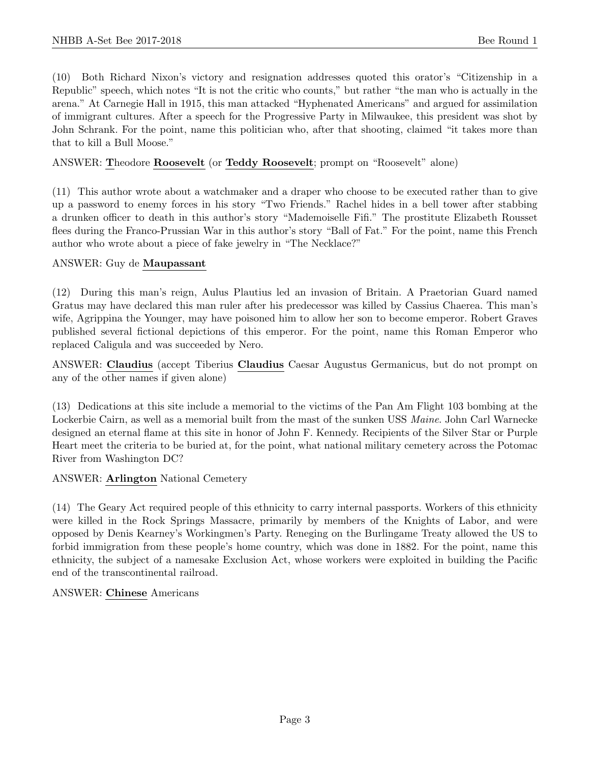(10) Both Richard Nixon's victory and resignation addresses quoted this orator's "Citizenship in a Republic" speech, which notes "It is not the critic who counts," but rather "the man who is actually in the arena." At Carnegie Hall in 1915, this man attacked "Hyphenated Americans" and argued for assimilation of immigrant cultures. After a speech for the Progressive Party in Milwaukee, this president was shot by John Schrank. For the point, name this politician who, after that shooting, claimed "it takes more than that to kill a Bull Moose."

#### ANSWER: Theodore Roosevelt (or Teddy Roosevelt; prompt on "Roosevelt" alone)

(11) This author wrote about a watchmaker and a draper who choose to be executed rather than to give up a password to enemy forces in his story "Two Friends." Rachel hides in a bell tower after stabbing a drunken officer to death in this author's story "Mademoiselle Fifi." The prostitute Elizabeth Rousset flees during the Franco-Prussian War in this author's story "Ball of Fat." For the point, name this French author who wrote about a piece of fake jewelry in "The Necklace?"

#### ANSWER: Guy de Maupassant

(12) During this man's reign, Aulus Plautius led an invasion of Britain. A Praetorian Guard named Gratus may have declared this man ruler after his predecessor was killed by Cassius Chaerea. This man's wife, Agrippina the Younger, may have poisoned him to allow her son to become emperor. Robert Graves published several fictional depictions of this emperor. For the point, name this Roman Emperor who replaced Caligula and was succeeded by Nero.

ANSWER: Claudius (accept Tiberius Claudius Caesar Augustus Germanicus, but do not prompt on any of the other names if given alone)

(13) Dedications at this site include a memorial to the victims of the Pan Am Flight 103 bombing at the Lockerbie Cairn, as well as a memorial built from the mast of the sunken USS *Maine*. John Carl Warnecke designed an eternal flame at this site in honor of John F. Kennedy. Recipients of the Silver Star or Purple Heart meet the criteria to be buried at, for the point, what national military cemetery across the Potomac River from Washington DC?

#### ANSWER: Arlington National Cemetery

(14) The Geary Act required people of this ethnicity to carry internal passports. Workers of this ethnicity were killed in the Rock Springs Massacre, primarily by members of the Knights of Labor, and were opposed by Denis Kearney's Workingmen's Party. Reneging on the Burlingame Treaty allowed the US to forbid immigration from these people's home country, which was done in 1882. For the point, name this ethnicity, the subject of a namesake Exclusion Act, whose workers were exploited in building the Pacific end of the transcontinental railroad.

#### ANSWER: Chinese Americans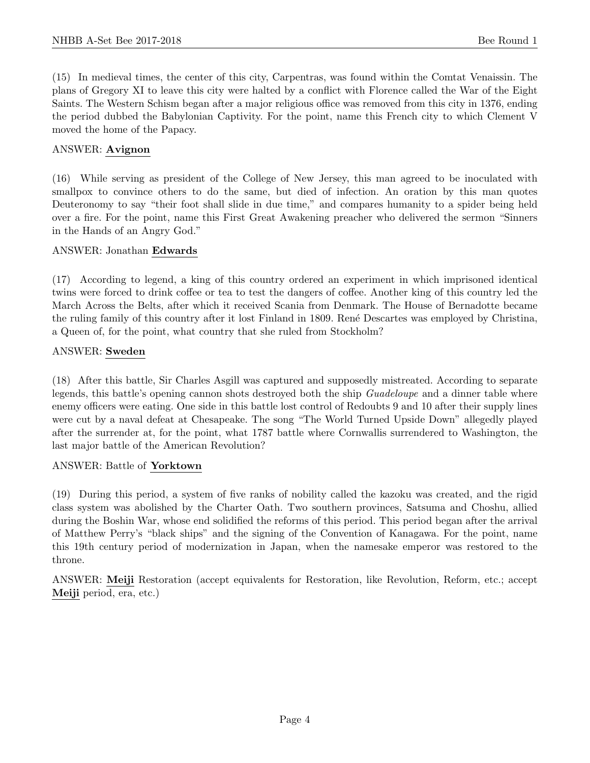(15) In medieval times, the center of this city, Carpentras, was found within the Comtat Venaissin. The plans of Gregory XI to leave this city were halted by a conflict with Florence called the War of the Eight Saints. The Western Schism began after a major religious office was removed from this city in 1376, ending the period dubbed the Babylonian Captivity. For the point, name this French city to which Clement V moved the home of the Papacy.

#### ANSWER: Avignon

(16) While serving as president of the College of New Jersey, this man agreed to be inoculated with smallpox to convince others to do the same, but died of infection. An oration by this man quotes Deuteronomy to say "their foot shall slide in due time," and compares humanity to a spider being held over a fire. For the point, name this First Great Awakening preacher who delivered the sermon "Sinners in the Hands of an Angry God."

#### ANSWER: Jonathan Edwards

(17) According to legend, a king of this country ordered an experiment in which imprisoned identical twins were forced to drink coffee or tea to test the dangers of coffee. Another king of this country led the March Across the Belts, after which it received Scania from Denmark. The House of Bernadotte became the ruling family of this country after it lost Finland in 1809. René Descartes was employed by Christina, a Queen of, for the point, what country that she ruled from Stockholm?

#### ANSWER: Sweden

(18) After this battle, Sir Charles Asgill was captured and supposedly mistreated. According to separate legends, this battle's opening cannon shots destroyed both the ship *Guadeloupe* and a dinner table where enemy officers were eating. One side in this battle lost control of Redoubts 9 and 10 after their supply lines were cut by a naval defeat at Chesapeake. The song "The World Turned Upside Down" allegedly played after the surrender at, for the point, what 1787 battle where Cornwallis surrendered to Washington, the last major battle of the American Revolution?

#### ANSWER: Battle of Yorktown

(19) During this period, a system of five ranks of nobility called the kazoku was created, and the rigid class system was abolished by the Charter Oath. Two southern provinces, Satsuma and Choshu, allied during the Boshin War, whose end solidified the reforms of this period. This period began after the arrival of Matthew Perry's "black ships" and the signing of the Convention of Kanagawa. For the point, name this 19th century period of modernization in Japan, when the namesake emperor was restored to the throne.

ANSWER: Meiji Restoration (accept equivalents for Restoration, like Revolution, Reform, etc.; accept Meiji period, era, etc.)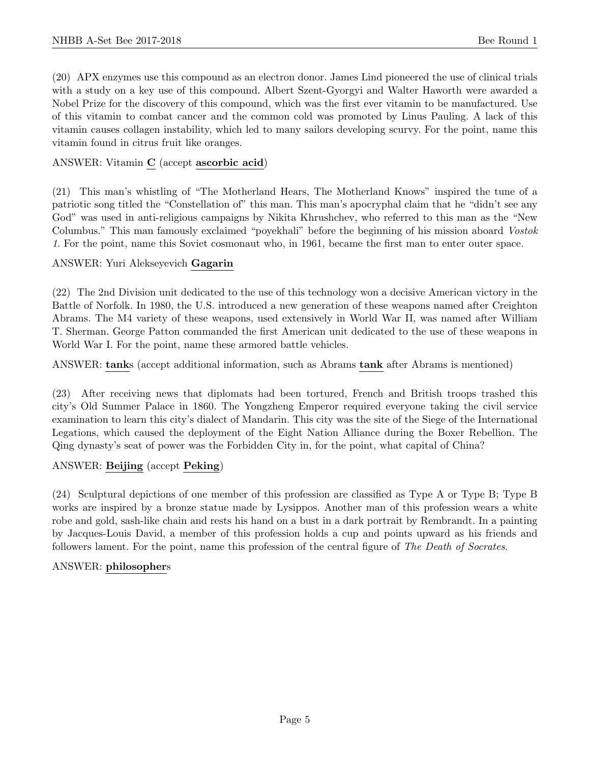(20) APX enzymes use this compound as an electron donor. James Lind pioneered the use of clinical trials with a study on a key use of this compound. Albert Szent-Gyorgyi and Walter Haworth were awarded a Nobel Prize for the discovery of this compound, which was the first ever vitamin to be manufactured. Use of this vitamin to combat cancer and the common cold was promoted by Linus Pauling. A lack of this vitamin causes collagen instability, which led to many sailors developing scurvy. For the point, name this vitamin found in citrus fruit like oranges.

#### ANSWER: Vitamin C (accept ascorbic acid)

(21) This man's whistling of "The Motherland Hears, The Motherland Knows" inspired the tune of a patriotic song titled the "Constellation of" this man. This man's apocryphal claim that he "didn't see any God" was used in anti-religious campaigns by Nikita Khrushchev, who referred to this man as the "New Columbus." This man famously exclaimed "poyekhali" before the beginning of his mission aboard Vostok 1. For the point, name this Soviet cosmonaut who, in 1961, became the first man to enter outer space.

#### ANSWER: Yuri Alekseyevich Gagarin

(22) The 2nd Division unit dedicated to the use of this technology won a decisive American victory in the Battle of Norfolk. In 1980, the U.S. introduced a new generation of these weapons named after Creighton Abrams. The M4 variety of these weapons, used extensively in World War II, was named after William T. Sherman. George Patton commanded the first American unit dedicated to the use of these weapons in World War I. For the point, name these armored battle vehicles.

ANSWER: tanks (accept additional information, such as Abrams tank after Abrams is mentioned)

(23) After receiving news that diplomats had been tortured, French and British troops trashed this city's Old Summer Palace in 1860. The Yongzheng Emperor required everyone taking the civil service examination to learn this city's dialect of Mandarin. This city was the site of the Siege of the International Legations, which caused the deployment of the Eight Nation Alliance during the Boxer Rebellion. The Qing dynasty's seat of power was the Forbidden City in, for the point, what capital of China?

#### ANSWER: Beijing (accept Peking)

(24) Sculptural depictions of one member of this profession are classified as Type A or Type B; Type B works are inspired by a bronze statue made by Lysippos. Another man of this profession wears a white robe and gold, sash-like chain and rests his hand on a bust in a dark portrait by Rembrandt. In a painting by Jacques-Louis David, a member of this profession holds a cup and points upward as his friends and followers lament. For the point, name this profession of the central figure of The Death of Socrates.

#### ANSWER: philosophers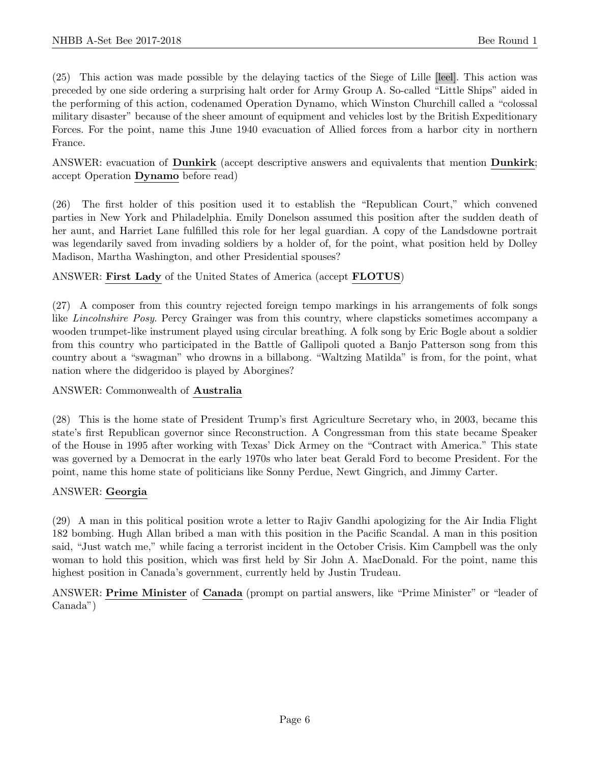(25) This action was made possible by the delaying tactics of the Siege of Lille [leel]. This action was preceded by one side ordering a surprising halt order for Army Group A. So-called "Little Ships" aided in the performing of this action, codenamed Operation Dynamo, which Winston Churchill called a "colossal military disaster" because of the sheer amount of equipment and vehicles lost by the British Expeditionary Forces. For the point, name this June 1940 evacuation of Allied forces from a harbor city in northern France.

ANSWER: evacuation of Dunkirk (accept descriptive answers and equivalents that mention Dunkirk; accept Operation Dynamo before read)

(26) The first holder of this position used it to establish the "Republican Court," which convened parties in New York and Philadelphia. Emily Donelson assumed this position after the sudden death of her aunt, and Harriet Lane fulfilled this role for her legal guardian. A copy of the Landsdowne portrait was legendarily saved from invading soldiers by a holder of, for the point, what position held by Dolley Madison, Martha Washington, and other Presidential spouses?

ANSWER: First Lady of the United States of America (accept FLOTUS)

(27) A composer from this country rejected foreign tempo markings in his arrangements of folk songs like Lincolnshire Posy. Percy Grainger was from this country, where clapsticks sometimes accompany a wooden trumpet-like instrument played using circular breathing. A folk song by Eric Bogle about a soldier from this country who participated in the Battle of Gallipoli quoted a Banjo Patterson song from this country about a "swagman" who drowns in a billabong. "Waltzing Matilda" is from, for the point, what nation where the didgeridoo is played by Aborgines?

ANSWER: Commonwealth of Australia

(28) This is the home state of President Trump's first Agriculture Secretary who, in 2003, became this state's first Republican governor since Reconstruction. A Congressman from this state became Speaker of the House in 1995 after working with Texas' Dick Armey on the "Contract with America." This state was governed by a Democrat in the early 1970s who later beat Gerald Ford to become President. For the point, name this home state of politicians like Sonny Perdue, Newt Gingrich, and Jimmy Carter.

#### ANSWER: Georgia

(29) A man in this political position wrote a letter to Rajiv Gandhi apologizing for the Air India Flight 182 bombing. Hugh Allan bribed a man with this position in the Pacific Scandal. A man in this position said, "Just watch me," while facing a terrorist incident in the October Crisis. Kim Campbell was the only woman to hold this position, which was first held by Sir John A. MacDonald. For the point, name this highest position in Canada's government, currently held by Justin Trudeau.

ANSWER: Prime Minister of Canada (prompt on partial answers, like "Prime Minister" or "leader of Canada")